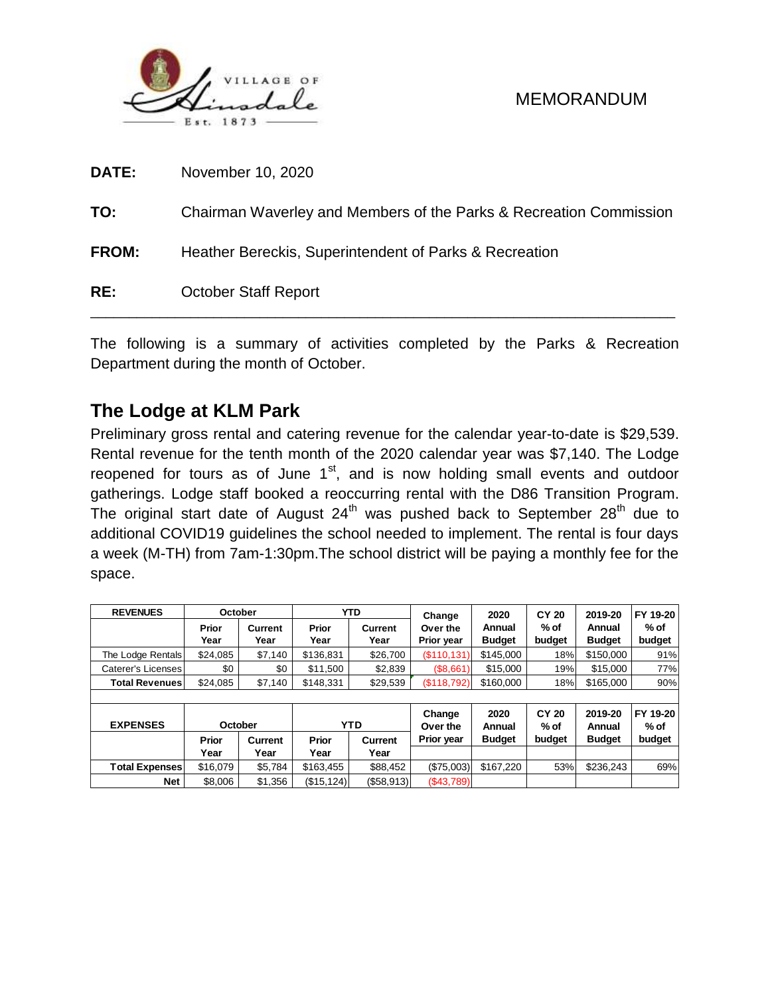

| RE:          | <b>October Staff Report</b>                                        |
|--------------|--------------------------------------------------------------------|
| <b>FROM:</b> | Heather Bereckis, Superintendent of Parks & Recreation             |
| TO:          | Chairman Waverley and Members of the Parks & Recreation Commission |
| <b>DATE:</b> | November 10, 2020                                                  |

The following is a summary of activities completed by the Parks & Recreation Department during the month of October.

# **The Lodge at KLM Park**

Preliminary gross rental and catering revenue for the calendar year-to-date is \$29,539. Rental revenue for the tenth month of the 2020 calendar year was \$7,140. The Lodge reopened for tours as of June  $1<sup>st</sup>$ , and is now holding small events and outdoor gatherings. Lodge staff booked a reoccurring rental with the D86 Transition Program. The original start date of August  $24<sup>th</sup>$  was pushed back to September  $28<sup>th</sup>$  due to additional COVID19 guidelines the school needed to implement. The rental is four days a week (M-TH) from 7am-1:30pm.The school district will be paying a monthly fee for the space.

| <b>REVENUES</b>       | October       |                        |               | <b>YTD</b>             | Change                 | 2020                    | <b>CY 20</b>         | 2019-20                 | FY 19-20                     |  |
|-----------------------|---------------|------------------------|---------------|------------------------|------------------------|-------------------------|----------------------|-------------------------|------------------------------|--|
|                       | Prior<br>Year | <b>Current</b><br>Year | Prior<br>Year | <b>Current</b><br>Year | Over the<br>Prior year | Annual<br><b>Budget</b> | % of<br>budget       | Annual<br><b>Budget</b> | $%$ of<br>budget             |  |
| The Lodge Rentals     | \$24,085      | \$7,140                | \$136,831     | \$26,700               | $($ \$110,131)         | \$145,000               | 18%                  | \$150,000               | 91%                          |  |
| Caterer's Licenses    | \$0           | \$0                    | \$11,500      | \$2,839                | (\$8,661)              | \$15,000                | 19%                  | \$15,000                | 77%                          |  |
| <b>Total Revenues</b> | \$24.085      | \$7,140                | \$148,331     | \$29,539               | (\$118,792)            | \$160,000               | 18%                  | \$165,000               | 90%                          |  |
|                       |               |                        |               |                        |                        |                         |                      |                         |                              |  |
| <b>EXPENSES</b>       | October       |                        |               | <b>YTD</b>             | Change<br>Over the     | 2020<br>Annual          | <b>CY 20</b><br>% of | 2019-20<br>Annual       | FY 19-20<br>$%$ of<br>budget |  |
|                       | Prior         | Current                | Prior         | Current                | Prior year             | <b>Budget</b>           | budget               | <b>Budget</b>           |                              |  |
|                       | Year          | Year                   | Year          | Year                   |                        |                         |                      |                         |                              |  |
| <b>Total Expenses</b> | \$16,079      | \$5,784                | \$163,455     | \$88,452               | (\$75,003)             | \$167.220               | 53%                  | \$236,243               | 69%                          |  |
| Net                   | \$8,006       | \$1,356                | (S15, 124)    | $($ \$58,913)          | (\$43,789)             |                         |                      |                         |                              |  |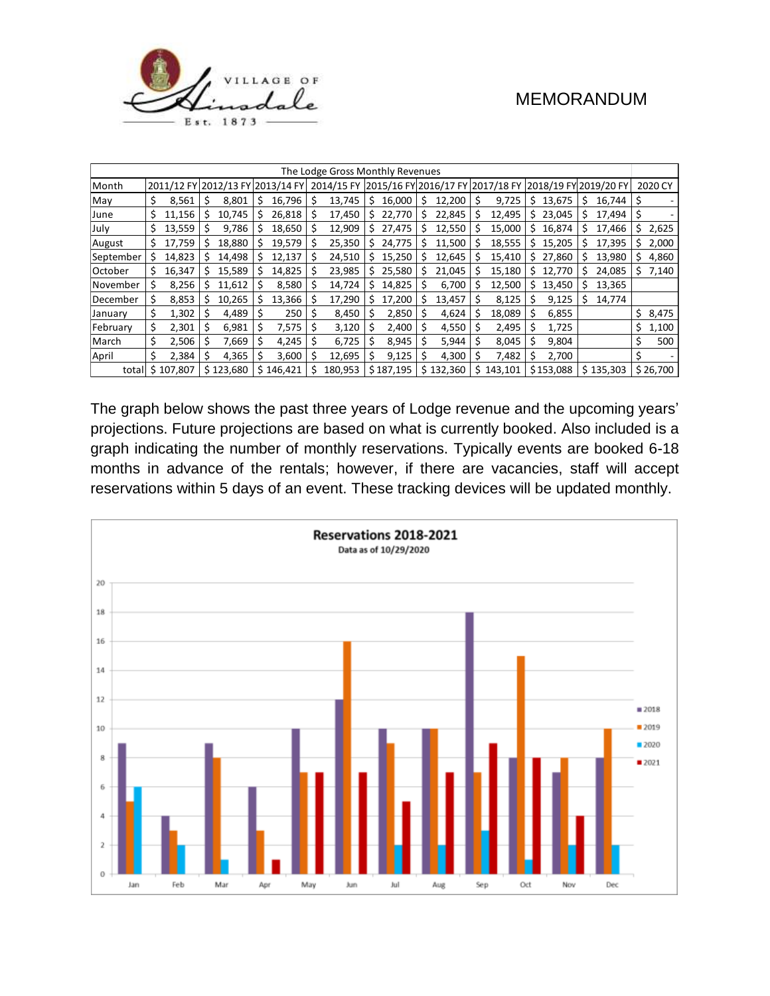

| The Lodge Gross Monthly Revenues |    |                                  |    |           |   |           |    |            |     |           |    |           |     |                                  |    |                       |    |           |    |          |
|----------------------------------|----|----------------------------------|----|-----------|---|-----------|----|------------|-----|-----------|----|-----------|-----|----------------------------------|----|-----------------------|----|-----------|----|----------|
| Month                            |    | 2011/12 FY 2012/13 FY 2013/14 FY |    |           |   |           |    | 2014/15 FY |     |           |    |           |     | 2015/16 FY 2016/17 FY 2017/18 FY |    | 2018/19 FY 2019/20 FY |    |           |    | 2020 CY  |
| May                              | \$ | 8,561                            |    | 8.801     | S | 16,796    | S  | 13,745     | Ś   | 16,000    | \$ | 12,200    | \$  | 9,725                            | Ś. | 13.675                | Ŝ  | 16.744    | S  |          |
| June                             |    | 11,156                           | \$ | 10,745    | S | 26,818    | Ŝ  | 17,450     | \$  | 22,770    | Ś  | 22,845    | \$  | 12,495                           | Ś. | 23,045                | Ŝ  | 17,494    | \$ |          |
| July                             | S  | 13,559                           |    | 9,786     | S | 18,650    | Ŝ  | 12,909     | \$. | 27,475    |    | 12,550    | S   | 15,000                           | S. | 16,874                |    | 17,466    | \$ | 2,625    |
| August                           | s  | 17.759                           | Ś  | 18,880    |   | 19,579    |    | 25,350     | Ś   | 24,775    | Ś  | 11,500    | Ś   | 18,555                           | Ś. | 15,205                | S  | 17,395    | \$ | 2,000    |
| September                        | s  | 14,823                           |    | 14,498    |   | 12,137    |    | 24,510     |     | 15,250    |    | 12,645    | S   | 15,410                           |    | \$27,860              | Ŝ  | 13,980    | \$ | 4,860    |
| October                          | Ś. | 16,347                           | S  | 15,589    |   | 14,825    | \$ | 23,985     |     | 25,580    |    | 21,045    |     | 15,180                           | S. | 12,770                | \$ | 24,085    | \$ | 7,140    |
| November                         | \$ | 8,256                            |    | 11,612    |   | 8,580     |    | 14,724     |     | 14,825    |    | 6,700     |     | 12,500                           | S. | 13,450                | Ś  | 13,365    |    |          |
| December                         | \$ | 8,853                            |    | 10,265    |   | 13,366    | S  | 17,290     | s   | 17,200    | S  | 13,457    | S   | 8,125                            |    | 9,125                 | Ŝ  | 14,774    |    |          |
| January                          | Ś  | 1,302                            |    | 4,489     |   | 250       |    | 8,450      |     | 2,850     |    | 4,624     |     | 18,089                           |    | 6,855                 |    |           | \$ | 8,475    |
| February                         | \$ | 2,301                            |    | 6,981     | S | 7,575     |    | 3,120      |     | 2,400     | S  | 4,550     | S   | 2,495                            | S  | 1,725                 |    |           | \$ | 1,100    |
| March                            | \$ | 2,506                            |    | 7,669     |   | 4,245     |    | 6,725      |     | 8,945     |    | 5,944     |     | 8,045                            |    | 9,804                 |    |           |    | 500      |
| April                            | Ś  | 2,384                            |    | 4,365     |   | 3,600     |    | 12,695     |     | 9,125     |    | 4,300     | S   | 7,482                            |    | 2,700                 |    |           |    |          |
| total                            |    | \$107,807                        |    | \$123,680 |   | \$146,421 | Ś  | 180,953    |     | \$187,195 |    | \$132,360 | \$. | 143,101                          |    | \$153,088             |    | \$135,303 |    | \$26,700 |

The graph below shows the past three years of Lodge revenue and the upcoming years' projections. Future projections are based on what is currently booked. Also included is a graph indicating the number of monthly reservations. Typically events are booked 6-18 months in advance of the rentals; however, if there are vacancies, staff will accept reservations within 5 days of an event. These tracking devices will be updated monthly.

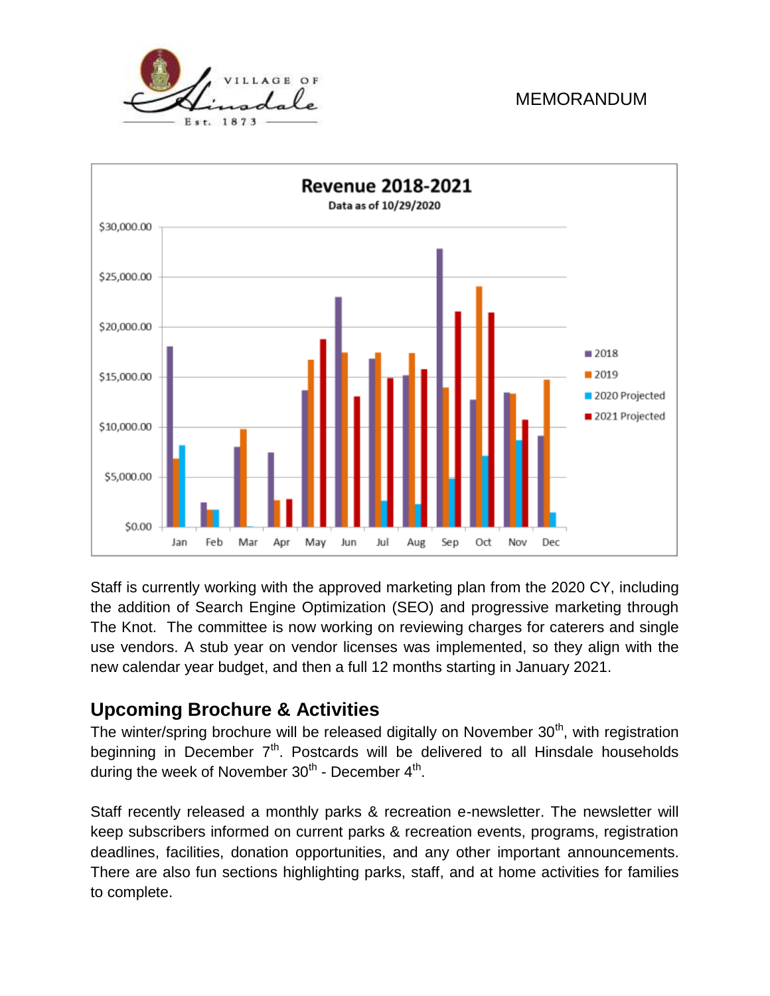

Staff is currently working with the approved marketing plan from the 2020 CY, including the addition of Search Engine Optimization (SEO) and progressive marketing through The Knot. The committee is now working on reviewing charges for caterers and single use vendors. A stub year on vendor licenses was implemented, so they align with the new calendar year budget, and then a full 12 months starting in January 2021.

# **Upcoming Brochure & Activities**

The winter/spring brochure will be released digitally on November  $30<sup>th</sup>$ , with registration beginning in December  $7<sup>th</sup>$ . Postcards will be delivered to all Hinsdale households during the week of November 30<sup>th</sup> - December 4<sup>th</sup>.

Staff recently released a monthly parks & recreation e-newsletter. The newsletter will keep subscribers informed on current parks & recreation events, programs, registration deadlines, facilities, donation opportunities, and any other important announcements. There are also fun sections highlighting parks, staff, and at home activities for families to complete.